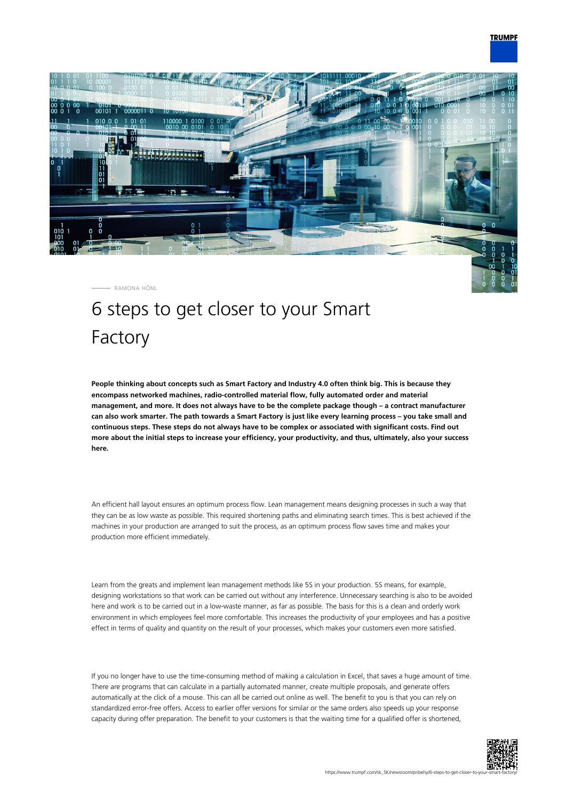

RAMONA HÖNL

## 6 steps to get closer to your Smart Factory

**People thinking about concepts such as Smart Factory and Industry 4.0 often think big. This is because they encompass networked machines, radio-controlled material flow, fully automated order and material management, and more. It does not always have to be the complete package though – a contract manufacturer can also work smarter. The path towards a Smart Factory is just like every learning process – you take small and continuous steps. These steps do not always have to be complex or associated with significant costs. Find out more about the initial steps to increase your efficiency, your productivity, and thus, ultimately, also your success here.**

An efficient hall layout ensures an optimum process flow. Lean management means designing processes in such a way that they can be as low waste as possible. This required shortening paths and eliminating search times. This is best achieved if the machines in your production are arranged to suit the process, as an optimum process flow saves time and makes your production more efficient immediately.

Learn from the greats and implement lean management methods like 5S in your production. 5S means, for example, designing workstations so that work can be carried out without any interference. Unnecessary searching is also to be avoided here and work is to be carried out in a low-waste manner, as far as possible. The basis for this is a clean and orderly work environment in which employees feel more comfortable. This increases the productivity of your employees and has a positive effect in terms of quality and quantity on the result of your processes, which makes your customers even more satisfied.

If you no longer have to use the time-consuming method of making a calculation in Excel, that saves a huge amount of time. There are programs that can calculate in a partially automated manner, create multiple proposals, and generate offers automatically at the click of a mouse. This can all be carried out online as well. The benefit to you is that you can rely on standardized error-free offers. Access to earlier offer versions for similar or the same orders also speeds up your response capacity during offer preparation. The benefit to your customers is that the waiting time for a qualified offer is shortened,